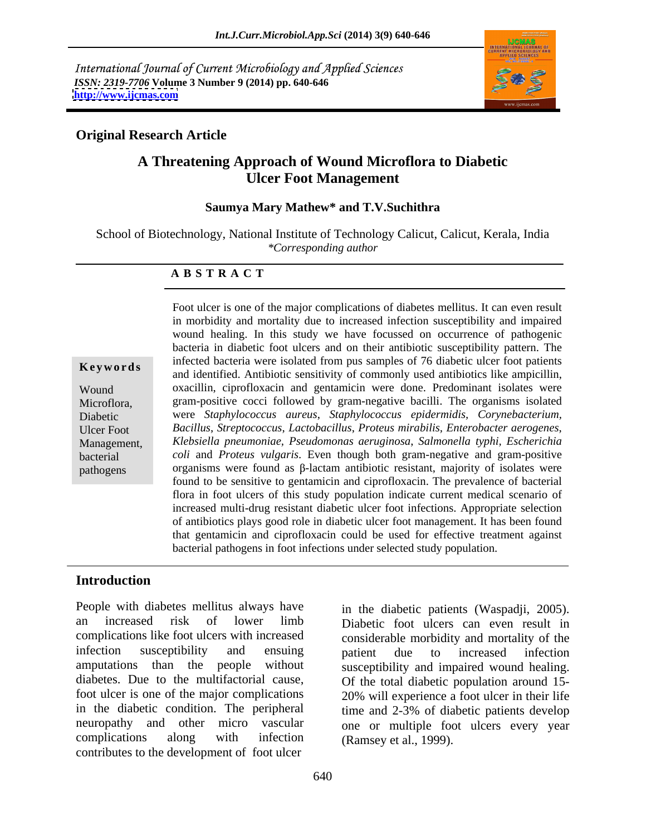International Journal of Current Microbiology and Applied Sciences *ISSN: 2319-7706* **Volume 3 Number 9 (2014) pp. 640-646 <http://www.ijcmas.com>**



## **Original Research Article**

# **A Threatening Approach of Wound Microflora to Diabetic Ulcer Foot Management**

### **Saumya Mary Mathew\* and T.V.Suchithra**

School of Biotechnology, National Institute of Technology Calicut, Calicut, Kerala, India *\*Corresponding author* 

### **A B S T R A C T**

**Keywords**and identified. Antibiotic sensitivity of commonly used antibiotics like ampicillin, Wound oxacillin, ciprofloxacin and gentamicin were done. Predominant isolates were Microflora, gram-positive cocci followed by gram-negative bacilli. The organisms isolated Diabetic were *Staphylococcus aureus*, *Staphylococcus epidermidis, Corynebacterium,* Ulcer Foot *Bacillus*, *Streptococcus*, *Lactobacillus*, *Proteus mirabilis, Enterobacter aerogenes*, Management, *Klebsiella pneumoniae, Pseudomonas aeruginosa*, *Salmonella typhi, Escherichia* bacterial *coli* and *Proteus vulgaris*. Even though both gram-negative and gram-positive pathogens organisms were found as  $\beta$ -lactam antibiotic resistant, majority of isolates were Foot ulcer is one of the major complications of diabetes mellitus. It can even result in morbidity and mortality due to increased infection susceptibility and impaired wound healing. In this study we have focussed on occurrence of pathogenic bacteria in diabetic foot ulcers and on their antibiotic susceptibility pattern. The infected bacteria were isolated from pus samples of 76 diabetic ulcer foot patients found to be sensitive to gentamicin and ciprofloxacin. The prevalence of bacterial flora in foot ulcers of this study population indicate current medical scenario of increased multi-drug resistant diabetic ulcer foot infections. Appropriate selection of antibiotics plays good role in diabetic ulcer foot management. It has been found that gentamicin and ciprofloxacin could be used for effective treatment against bacterial pathogens in foot infections under selected study population.

### **Introduction**

People with diabetes mellitus always have in the diabetic patients (Waspadii, 2005). an increased risk of lower limb complications like foot ulcers with increased considerable morbidity and mortality of the infection susceptibility and ensuing batient due to increased infection amputations than the people without susceptibility and impaired wound healing. diabetes. Due to the multifactorial cause, Of the total diabetic population around 15 foot ulcer is one of the major complications 20% will experience a foot ulcer in their life in the diabetic condition. The peripheral time and 2-3% of diabetic patients develop neuropathy and other micro vascular one or multiple foot ulcers every year complications along with infection (Ramsey et al., 1999). contributes to the development of foot ulcer

in the diabetic patients (Waspadji, 2005). Diabetic foot ulcers can even result in patient due to increased infection (Ramsey et al., 1999).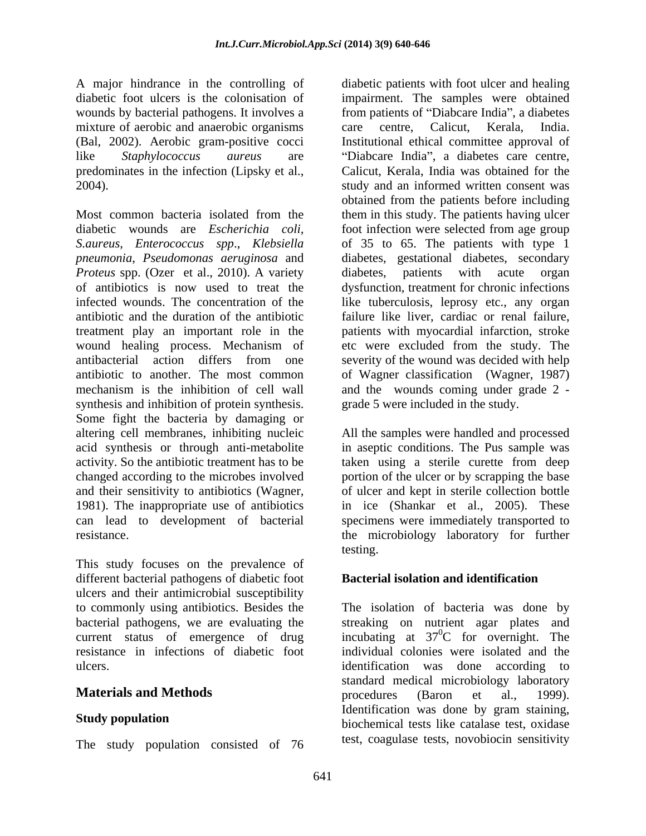wounds by bacterial pathogens. It involves a mixture of aerobic and anaerobic organisms care centre, Calicut, Kerala, India. (Bal, 2002). Aerobic gram-positive cocci

diabetic wounds are *Escherichia coli,* foot infection were selected from age group *S.aureus, Enterococcus spp*., *Klebsiella* of 35 to 65. The patients with type 1 *pneumonia*, *Pseudomonas aeruginosa* and diabetes, gestational diabetes, secondary *Proteus* spp. (Ozer et al., 2010). A variety diabetes, patients with acute organ of antibiotics is now used to treat the dysfunction, treatment for chronic infections infected wounds. The concentration of the like tuberculosis, leprosy etc., any organ antibiotic and the duration of the antibiotic failure like liver, cardiac or renal failure, treatment play an important role in the wound healing process. Mechanism of antibacterial action differs from one severity of the wound was decided with help antibiotic to another. The most common of Wagner classification (Wagner, 1987) mechanism is the inhibition of cell wall and the wounds coming under grade 2 synthesis and inhibition of protein synthesis. Some fight the bacteria by damaging or altering cell membranes, inhibiting nucleic All the samples were handled and processed acid synthesis or through anti-metabolite in aseptic conditions. The Pus sample was activity. So the antibiotic treatment has to be taken using a sterile curette from deep changed according to the microbes involved portion of the ulcer or by scrapping the base and their sensitivity to antibiotics (Wagner, of ulcer and kept in sterile collection bottle 1981). The inappropriate use of antibiotics in ice (Shankar et al., 2005). These can lead to development of bacterial specimens were immediately transported to

This study focuses on the prevalence of different bacterial pathogens of diabetic foot ulcers and their antimicrobial susceptibility<br>to commonly using antibiotics. Besides the bacterial pathogens, we are evaluating the

The study population consisted of 76

A major hindrance in the controlling of diabetic patients with foot ulcer and healing diabetic foot ulcers is the colonisation of impairment. The samples were obtained like *Staphylococcus aureus* are "Diabcare India", a diabetes care centre, predominates in the infection (Lipsky et al., Calicut, Kerala, India was obtained for the 2004).<br>
2004).<br>
2004) study and an informed written consent was<br>
2004).<br>
Most common bacteria isolated from the them in this study. The patients having ulcer from patients of "Diabcare India", a diabetes care centre, Calicut, Kerala, India. Institutional ethical committee approval of study and an informed written consent was obtained from the patients before including them in this study. The patients having ulcer diabetes, patients with acute organ patients with myocardial infarction, stroke etc were excluded from the study. The grade 5 were included in the study.

resistance. the microbiology laboratory for further testing.

# **Bacterial isolation and identification**

to commonly using antibiotics. Besides the The isolation of bacteria was done by current status of emergence of drug incubating at  $37^0C$  for overnight. The resistance in infections of diabetic foot individual colonies were isolated and the ulcers. identification was done according to **Materials and Methods** procedures (Baron et al., 1999). **Study population**<br>biochemical tests like catalase test, oxidase streaking on nutrient agar plates and  ${}^{0}C$  for overnight. The standard medical microbiology laboratory procedures (Baron et al., 1999). Identification was done by gram staining, test, coagulase tests, novobiocin sensitivity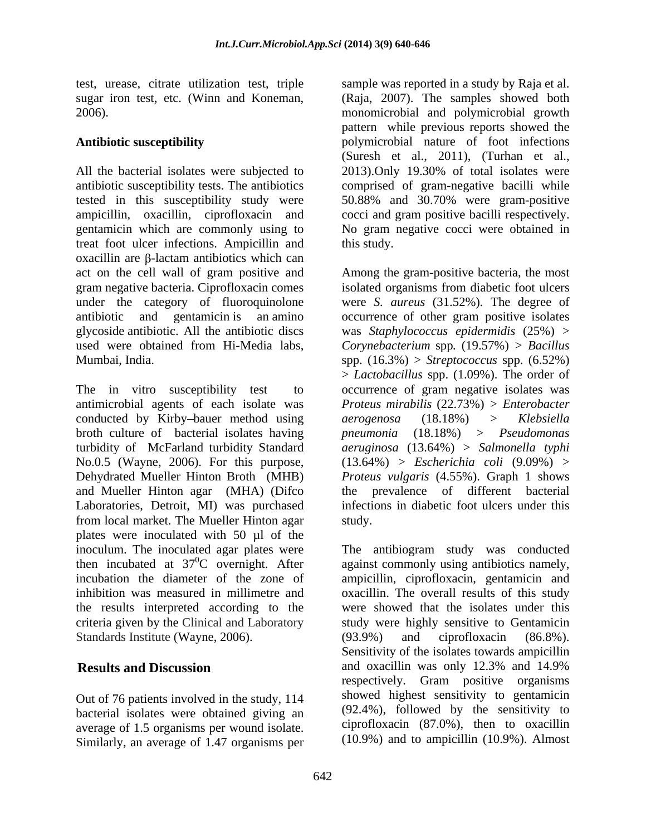All the bacterial isolates were subjected to 2013). Only 19.30% of total isolates were antibiotic susceptibility tests. The antibiotics comprised of gram-negative bacilli while tested in this susceptibility study were 50.88% and 30.70% were gram-positive ampicillin, oxacillin, ciprofloxacin and cocci and gram positive bacilli respectively. gentamicin which are commonly using to No gram negative cocci were obtained in treat foot ulcer infections. Ampicillin and  $\alpha$ xacillin are  $\beta$ -lactam antibiotics which can act on the cell wall of gram positive and Among the gram-positive bacteria, the most gram negative bacteria. Ciprofloxacin comes isolated organisms from diabetic foot ulcers under the category of fluoroquinolone were *S. aureus* (31.52%)*.* The degree of antibiotic and gentamicin is an amino occurrence of other gram positive isolates glycoside antibiotic. All the antibiotic discs was *Staphylococcus epidermidis* (25%) > used were obtained from Hi-Media labs, *Corynebacterium* spp*.* (19.57%) *> Bacillus*

The in vitro susceptibility test to occurrence of gram negative isolates was antimicrobial agents of each isolate was *Proteus mirabilis* (22.73%) *> Enterobacter* conducted by Kirby-bauer method using  $a$ erogenosa  $(18.18\%)$  > Klebsiella broth culture of bacterial isolates having *pheumonia*  $(18.18%)$  > *Pseudomonas* turbidity of McFarland turbidity Standard No.0.5 (Wayne, 2006). For this purpose, (13.64%) > *Escherichia coli* (9.09%) > Dehydrated Mueller Hinton Broth (MHB) *Proteus vulgaris* (4.55%). Graph 1 shows and Mueller Hinton agar (MHA) (Difco the prevalence of different bacterial Laboratories, Detroit, MI) was purchased infections in diabetic foot ulcers under this from local market. The Mueller Hinton agar plates were inoculated with 50 µl of the inoculum. The inoculated agar plates were The antibiogram study was conducted then incubated at 37 0C overnight. After against commonly using antibiotics namely, incubation the diameter of the zone of ampicillin, ciprofloxacin, gentamicin and inhibition was measured in millimetre and oxacillin. The overall results of this study the results interpreted according to the criteria given by the Clinical and Laboratory study were highly sensitive to Gentamicin Standards Institute (Wayne, 2006). (93.9%) and ciprofloxacin (86.8%).

Out of 76 patients involved in the study, 114 bacterial isolates were obtained giving an average of 1.5 organisms per wound isolate. Similarly, an average of 1.47 organisms per

test, urease, citrate utilization test, triple sample was reported in a study by Raja et al. sugar iron test, etc. (Winn and Koneman, (Raja, 2007). The samples showed both 2006). monomicrobial and polymicrobial growth **Antibiotic susceptibility** polymicrobial nature of foot infections pattern while previous reports showed the (Suresh et al., 2011), (Turhan et al., 2013).Only 19.30% of total isolates were this study.

Mumbai, India. spp. (16.3%) > *Streptococcus* spp. (6.52%) > *Lactobacillus* spp. (1.09%). The order of *aerogenosa* (18.18%) > *Klebsiella pneumonia* (18.18%)> *Pseudomonas aeruginosa* (13.64%) > *Salmonella typhi* study.

**Results and Discussion** and oxacillin was only 12.3% and 14.9% were showed that the isolates under this (93.9%) and ciprofloxacin (86.8%). Sensitivity of the isolates towards ampicillin respectively. Gram positive organisms showed highest sensitivity to gentamicin (92.4%), followed by the sensitivity to ciprofloxacin (87.0%), then to oxacillin (10.9%) and to ampicillin (10.9%). Almost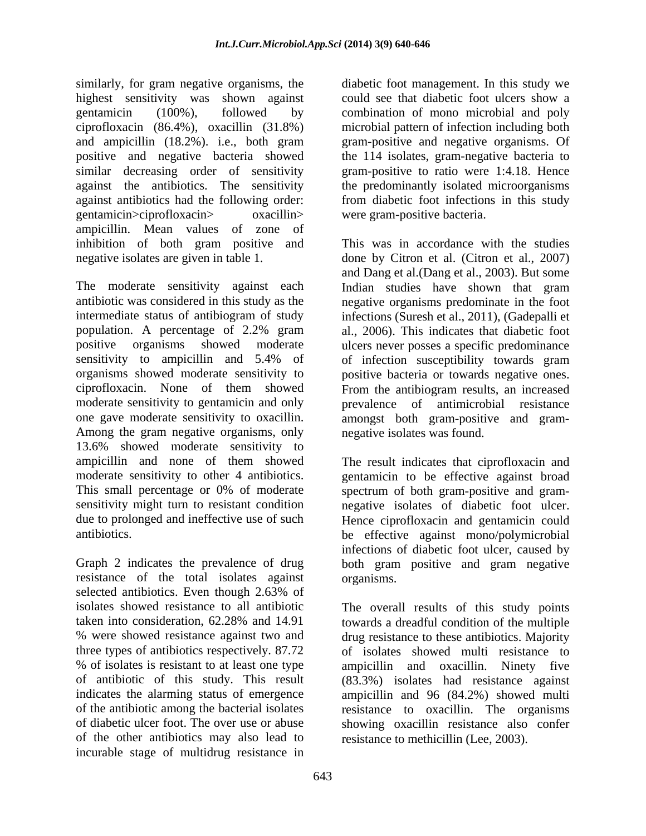similarly, for gram negative organisms, the highest sensitivity was shown against could see that diabetic foot ulcers show a gentamicin (100%), followed by combination of mono microbial and poly ciprofloxacin (86.4%), oxacillin (31.8%) and ampicillin (18.2%). i.e., both gram positive and negative bacteria showed similar decreasing order of sensitivity gram-positive to ratio were 1:4.18. Hence against the antibiotics. The sensitivity the predominantly isolated microorganisms against antibiotics had the following order: gentamicin>ciprofloxacin> oxacillin> were gram-positive bacteria. ampicillin. Mean values of zone of inhibition of both gram positive and

The moderate sensitivity against each Indian studies have shown that gram antibiotic was considered in this study as the intermediate status of antibiogram of study infections (Suresh et al., 2011), (Gadepalli et population. A percentage of 2.2% gram al., 2006). This indicates that diabetic foot positive organisms showed moderate ulcers never posses a specific predominance sensitivity to ampicillin and 5.4% of of infection susceptibility towards gram organisms showed moderate sensitivity to positive bacteria or towards negative ones. ciprofloxacin. None of them showed From the antibiogram results, an increased moderate sensitivity to gentamicin and only entity of antimicrobial resistance one gave moderate sensitivity to oxacillin. amongst both gram-positive and gram- Among the gram negative organisms, only 13.6% showed moderate sensitivity to ampicillin and none of them showed The result indicates that ciprofloxacin and moderate sensitivity to other 4 antibiotics. gentamicin to be effective against broad This small percentage or 0% of moderate spectrum of both gram-positive and gram sensitivity might turn to resistant condition negative isolates of diabetic foot ulcer. due to prolonged and ineffective use of such Hence ciprofloxacin and gentamicin could

resistance of the total isolates against selected antibiotics. Even though 2.63% of of the other antibiotics may also lead to incurable stage of multidrug resistance in

diabetic foot management. In this study we microbial pattern of infection including both gram-positive and negative organisms. Of the 114 isolates, gram-negative bacteria to from diabetic foot infections in this study were gram-positive bacteria.

negative isolates are given in table 1. done by Citron et al. (Citron et al., 2007) This was in accordance with the studies and Dang et al.(Dang et al., 2003). But some negative organisms predominate in the foot prevalence of antimicrobial resistance negative isolates was found.

antibiotics. be effective against mono/polymicrobial Graph 2 indicates the prevalence of drug both gram positive and gram negative infections of diabetic foot ulcer, caused by organisms.

isolates showed resistance to all antibiotic The overall results of this study points taken into consideration, 62.28% and 14.91 towards a dreadful condition of the multiple % were showed resistance against two and drug resistance to these antibiotics. Majority three types of antibiotics respectively. 87.72 of isolates showed multi resistance to % of isolates is resistant to at least one type ampicillin and oxacillin. Ninety five of antibiotic of this study. This result (83.3%) isolates had resistance against indicates the alarming status of emergence ampicillin and 96 (84.2%) showed multi of the antibiotic among the bacterial isolates resistance to oxacillin. The organisms of diabetic ulcer foot. The over use or abuse showing oxacillin resistance also confer resistance to methicillin (Lee, 2003).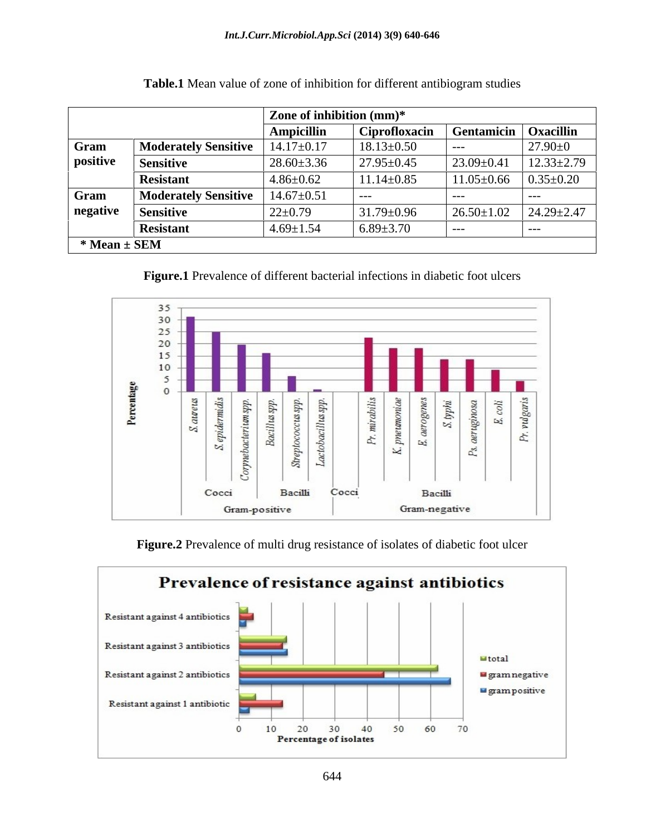|                    | Zone of inhibition (mm)*    |                   |                  |                        |                  |
|--------------------|-----------------------------|-------------------|------------------|------------------------|------------------|
|                    |                             | <b>Ampicillin</b> | Ciprofloxacin    | Gentamicin   Oxacillin |                  |
| Gram               | <b>Moderately Sensitive</b> | $14.17 \pm 0.17$  | $18.13 \pm 0.50$ | $---$                  | $27.90 \pm 0$    |
| positive           | <b>Sensitive</b>            | $28.60 \pm 3.36$  | $27.95 \pm 0.45$ | $23.09 \pm 0.41$       | $12.33 \pm 2.79$ |
|                    | <b>Resistant</b>            | $4.86 \pm 0.62$   | $11.14 \pm 0.85$ | $11.05 \pm 0.66$       | $0.35 \pm 0.20$  |
| Gram               | <b>Moderately Sensitive</b> | $14.67 \pm 0.51$  | $---$            | $---$                  | ----             |
| negative           | <b>Sensitive</b>            | $22 \pm 0.79$     | $31.79 \pm 0.96$ | $26.50 \pm 1.02$       | $24.29 \pm 2.47$ |
|                    | <b>Resistant</b>            | $4.69 \pm 1.54$   | $6.89{\pm}3.70$  | ----                   | $---$            |
| $*$ Mean $\pm$ SEM |                             |                   |                  |                        |                  |

**Table.1** Mean value of zone of inhibition for different antibiogram studies





**Figure.2** Prevalence of multi drug resistance of isolates of diabetic foot ulcer

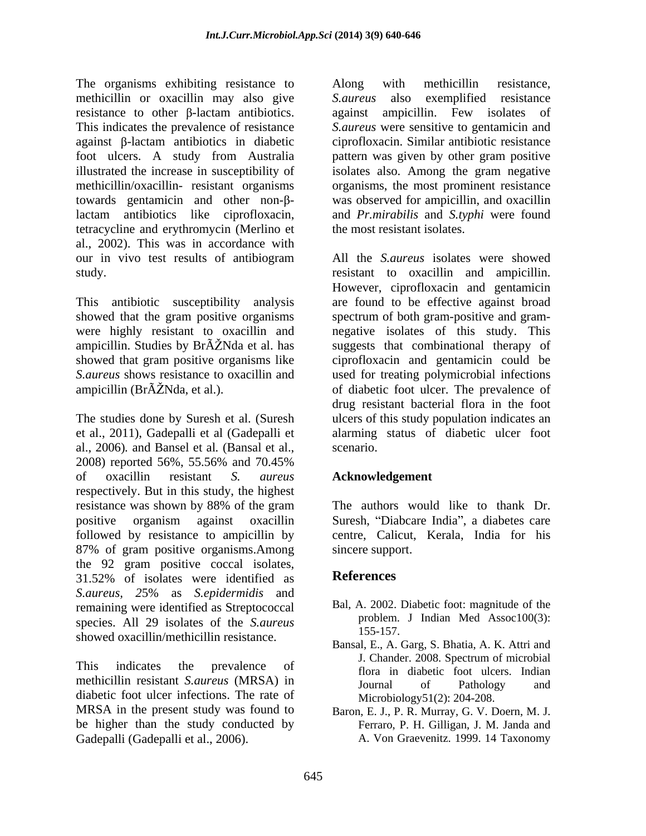The organisms exhibiting resistance to Along with methicillin resistance, methicillin or oxacillin may also give S. *aureus* also exemplified resistance  $resistance$  to other  $\beta$ -lactam antibiotics. This indicates the prevalence of resistance *S.aureus* were sensitive to gentamicin and  $a$ gainst  $\beta$ -lactam antibiotics in diabetic foot ulcers. A study from Australia illustrated the increase in susceptibility of isolates also. Among the gram negative methicillin/oxacillin- resistant organisms organisms, the most prominent resistance towards gentamicin and other non- $\beta$ - was observed for ampicillin, and oxacillin lactam antibiotics like ciprofloxacin, tetracycline and erythromycin (Merlino et al., 2002). This was in accordance with our in vivo test results of antibiogram study. resistant to oxacillin and ampicillin.

et al., 2011), Gadepalli et al (Gadepalli et al., 2006)*.* and Bansel et al*.* (Bansal et al., 2008) reported 56%, 55.56% and 70.45% of oxacillin resistant *S. aureus* respectively. But in this study, the highest resistance was shown by 88% of the gram The authors would like to thank Dr. positive organism against oxacillin Suresh, "Diabcare India", a diabetes care followed by resistance to ampicillin by centre, Calicut, Kerala, India for his 87% of gram positive organisms.Among the 92 gram positive coccal isolates,<br>31.52% of isolates were identified as **References** *S.aureus, 2*5% as *S.epidermidis* and remaining were identified as Streptococcal species. All 29 isolates of the *S.aureus* problem. showed oxacillin/methicillin resistance. The *negation* schemal condition and  $\mu$  along with methicilin resistance to other photom antibiality condition in the signal ampliting free isolates of the signal amplitude to condition resistance to the signal amplitud

This indicates the prevalence of the second theory is the second of the second theory in the second of the second second the second second second in the second second second second second second second second second second methicillin resistant *S.aureus* (MRSA) in Journal of Pathology and diabetic foot ulcer infections. The rate of MRSA in the present study was found to Baron, E. J., P. R. Murray, G. V. Doern, M. J. be higher than the study conducted by

against ampicillin. Few isolates of ciprofloxacin. Similar antibiotic resistance pattern was given by other gram positive and *Pr.mirabilis* and *S.typhi* were found the most resistant isolates.

This antibiotic susceptibility analysis are found to be effective against broad showed that the gram positive organisms spectrum of both gram-positive and gramwere highly resistant to oxacillin and negative isolates of this study.This ampicillin. Studies by Br $\tilde{A}$ ZNda et al. has suggests that combinational therapy of showed that gram positive organisms like ciprofloxacin and gentamicin could be *S.aureus* shows resistance to oxacillin and used for treating polymicrobial infections ampicillin (BrÂŽNda, et al.). of diabetic foot ulcer. The prevalence of<br>drug resistant bacterial flora in the foot<br>The studies done by Suresh et al. (Suresh ulcers of this study population indicates an All the *S.aureus* isolates were showed However, ciprofloxacin and gentamicin of diabetic foot ulcer. The prevalence of drug resistant bacterial flora in the foot ulcers of this study population indicates an alarming status of diabetic ulcer foot scenario.

# **Acknowledgement**

The authors would like to thank Dr. sincere support.

## **References**

- Bal, A. 2002. Diabetic foot: magnitude of the problem. J Indian Med Assoc100(3): 155-157.
- Bansal, E., A. Garg, S. Bhatia, A. K. Attri and J. Chander. 2008. Spectrum of microbial flora in diabetic foot ulcers. Indian Journal of Pathology and Microbiology51(2): 204-208.
- Ferraro, P. H. Gilligan, J. M. Janda and A. Von Graevenitz. 1999. 14 Taxonomy